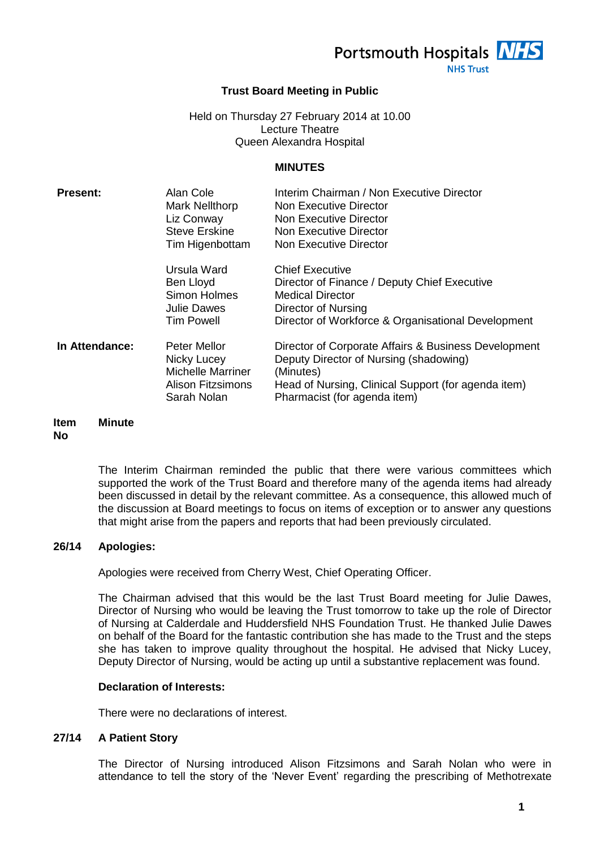Portsmouth Hospitals **NHS** 

**NHS Trust** 

# **Trust Board Meeting in Public**

#### Held on Thursday 27 February 2014 at 10.00 Lecture Theatre Queen Alexandra Hospital

#### **MINUTES**

| <b>Present:</b> | Alan Cole<br>Mark Nellthorp<br>Liz Conway<br><b>Steve Erskine</b><br>Tim Higenbottam               | Interim Chairman / Non Executive Director<br>Non Executive Director<br>Non Executive Director<br>Non Executive Director<br>Non Executive Director                                                  |
|-----------------|----------------------------------------------------------------------------------------------------|----------------------------------------------------------------------------------------------------------------------------------------------------------------------------------------------------|
|                 | Ursula Ward<br>Ben Lloyd<br>Simon Holmes<br>Julie Dawes<br><b>Tim Powell</b>                       | <b>Chief Executive</b><br>Director of Finance / Deputy Chief Executive<br><b>Medical Director</b><br>Director of Nursing<br>Director of Workforce & Organisational Development                     |
| In Attendance:  | Peter Mellor<br>Nicky Lucey<br><b>Michelle Marriner</b><br><b>Alison Fitzsimons</b><br>Sarah Nolan | Director of Corporate Affairs & Business Development<br>Deputy Director of Nursing (shadowing)<br>(Minutes)<br>Head of Nursing, Clinical Support (for agenda item)<br>Pharmacist (for agenda item) |

#### **Item No Minute**

The Interim Chairman reminded the public that there were various committees which supported the work of the Trust Board and therefore many of the agenda items had already been discussed in detail by the relevant committee. As a consequence, this allowed much of the discussion at Board meetings to focus on items of exception or to answer any questions that might arise from the papers and reports that had been previously circulated.

# **26/14 Apologies:**

Apologies were received from Cherry West, Chief Operating Officer.

The Chairman advised that this would be the last Trust Board meeting for Julie Dawes, Director of Nursing who would be leaving the Trust tomorrow to take up the role of Director of Nursing at Calderdale and Huddersfield NHS Foundation Trust. He thanked Julie Dawes on behalf of the Board for the fantastic contribution she has made to the Trust and the steps she has taken to improve quality throughout the hospital. He advised that Nicky Lucey, Deputy Director of Nursing, would be acting up until a substantive replacement was found.

# **Declaration of Interests:**

There were no declarations of interest.

# **27/14 A Patient Story**

The Director of Nursing introduced Alison Fitzsimons and Sarah Nolan who were in attendance to tell the story of the 'Never Event' regarding the prescribing of Methotrexate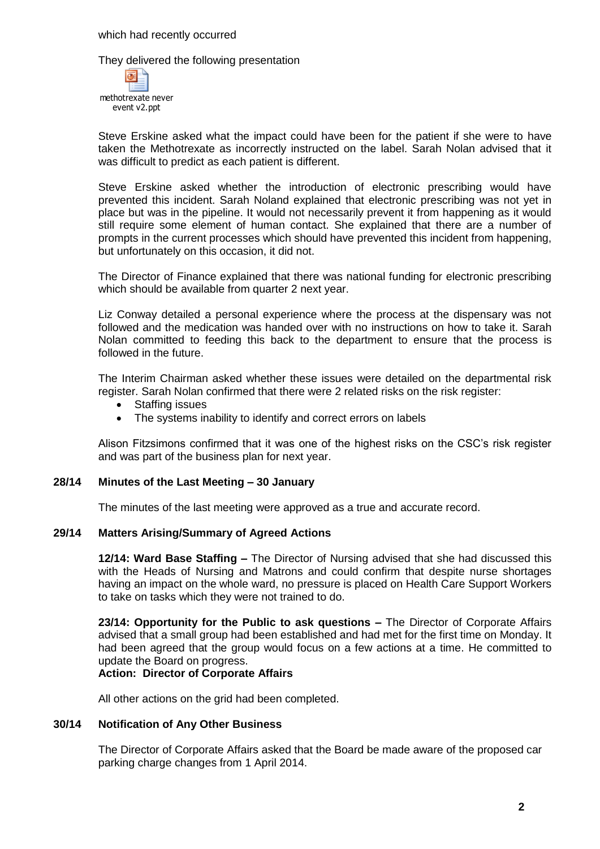They delivered the following presentation



Steve Erskine asked what the impact could have been for the patient if she were to have taken the Methotrexate as incorrectly instructed on the label. Sarah Nolan advised that it was difficult to predict as each patient is different.

Steve Erskine asked whether the introduction of electronic prescribing would have prevented this incident. Sarah Noland explained that electronic prescribing was not yet in place but was in the pipeline. It would not necessarily prevent it from happening as it would still require some element of human contact. She explained that there are a number of prompts in the current processes which should have prevented this incident from happening, but unfortunately on this occasion, it did not.

The Director of Finance explained that there was national funding for electronic prescribing which should be available from quarter 2 next year.

Liz Conway detailed a personal experience where the process at the dispensary was not followed and the medication was handed over with no instructions on how to take it. Sarah Nolan committed to feeding this back to the department to ensure that the process is followed in the future.

The Interim Chairman asked whether these issues were detailed on the departmental risk register. Sarah Nolan confirmed that there were 2 related risks on the risk register:

- Staffing issues
- The systems inability to identify and correct errors on labels

Alison Fitzsimons confirmed that it was one of the highest risks on the CSC's risk register and was part of the business plan for next year.

# **28/14 Minutes of the Last Meeting – 30 January**

The minutes of the last meeting were approved as a true and accurate record.

#### **29/14 Matters Arising/Summary of Agreed Actions**

**12/14: Ward Base Staffing –** The Director of Nursing advised that she had discussed this with the Heads of Nursing and Matrons and could confirm that despite nurse shortages having an impact on the whole ward, no pressure is placed on Health Care Support Workers to take on tasks which they were not trained to do.

**23/14: Opportunity for the Public to ask questions –** The Director of Corporate Affairs advised that a small group had been established and had met for the first time on Monday. It had been agreed that the group would focus on a few actions at a time. He committed to update the Board on progress.

#### **Action: Director of Corporate Affairs**

All other actions on the grid had been completed.

#### **30/14 Notification of Any Other Business**

The Director of Corporate Affairs asked that the Board be made aware of the proposed car parking charge changes from 1 April 2014.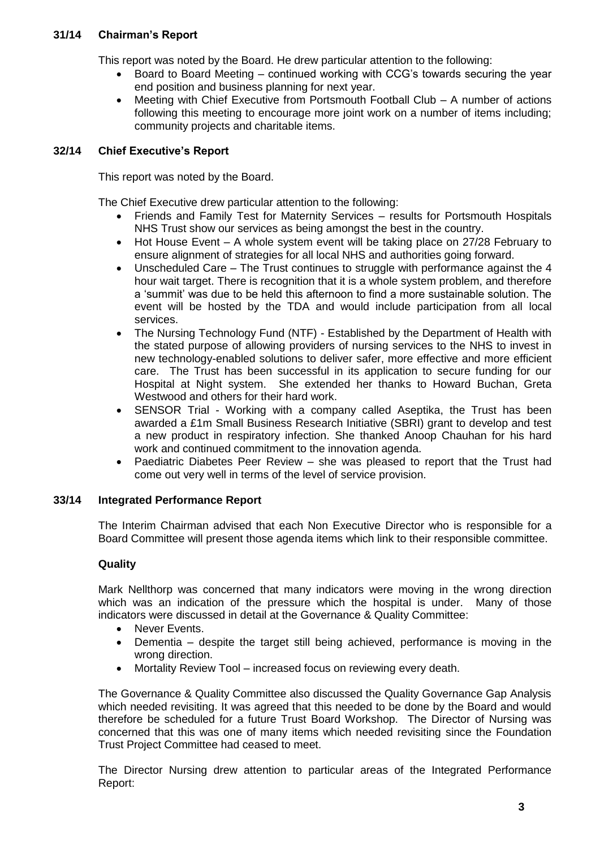# **31/14 Chairman's Report**

This report was noted by the Board. He drew particular attention to the following:

- Board to Board Meeting continued working with CCG's towards securing the year end position and business planning for next year.
- Meeting with Chief Executive from Portsmouth Football Club A number of actions following this meeting to encourage more joint work on a number of items including; community projects and charitable items.

# **32/14 Chief Executive's Report**

This report was noted by the Board.

The Chief Executive drew particular attention to the following:

- Friends and Family Test for Maternity Services results for Portsmouth Hospitals NHS Trust show our services as being amongst the best in the country.
- Hot House Event A whole system event will be taking place on 27/28 February to ensure alignment of strategies for all local NHS and authorities going forward.
- Unscheduled Care The Trust continues to struggle with performance against the 4 hour wait target. There is recognition that it is a whole system problem, and therefore a 'summit' was due to be held this afternoon to find a more sustainable solution. The event will be hosted by the TDA and would include participation from all local services.
- The Nursing Technology Fund (NTF) Established by the Department of Health with the stated purpose of allowing providers of nursing services to the NHS to invest in new technology-enabled solutions to deliver safer, more effective and more efficient care. The Trust has been successful in its application to secure funding for our Hospital at Night system. She extended her thanks to Howard Buchan, Greta Westwood and others for their hard work.
- SENSOR Trial Working with a company called Aseptika, the Trust has been awarded a £1m Small Business Research Initiative (SBRI) grant to develop and test a new product in respiratory infection. She thanked Anoop Chauhan for his hard work and continued commitment to the innovation agenda.
- Paediatric Diabetes Peer Review she was pleased to report that the Trust had come out very well in terms of the level of service provision.

# **33/14 Integrated Performance Report**

The Interim Chairman advised that each Non Executive Director who is responsible for a Board Committee will present those agenda items which link to their responsible committee.

# **Quality**

Mark Nellthorp was concerned that many indicators were moving in the wrong direction which was an indication of the pressure which the hospital is under. Many of those indicators were discussed in detail at the Governance & Quality Committee:

- Never Events.
- Dementia despite the target still being achieved, performance is moving in the wrong direction.
- Mortality Review Tool increased focus on reviewing every death.

The Governance & Quality Committee also discussed the Quality Governance Gap Analysis which needed revisiting. It was agreed that this needed to be done by the Board and would therefore be scheduled for a future Trust Board Workshop. The Director of Nursing was concerned that this was one of many items which needed revisiting since the Foundation Trust Project Committee had ceased to meet.

The Director Nursing drew attention to particular areas of the Integrated Performance Report: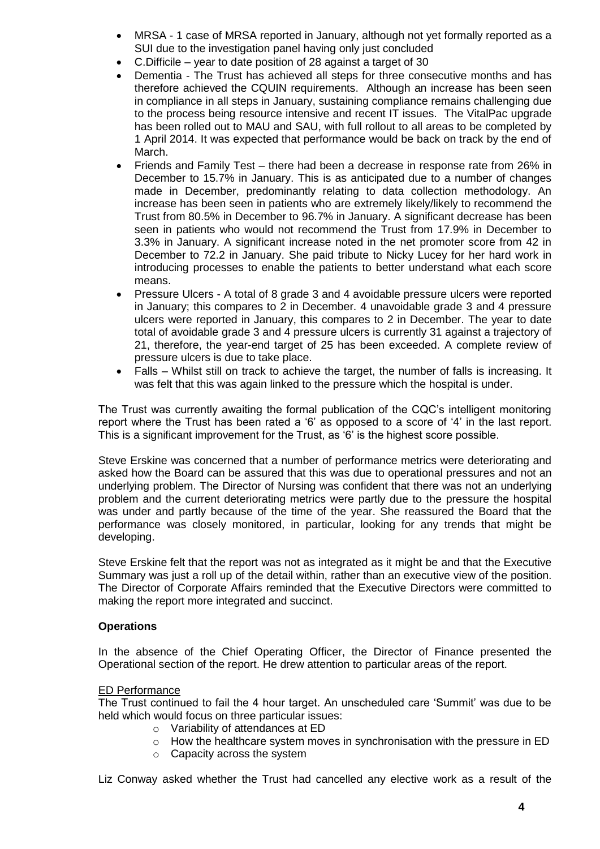- MRSA 1 case of MRSA reported in January, although not yet formally reported as a SUI due to the investigation panel having only just concluded
- C.Difficile year to date position of 28 against a target of 30
- Dementia The Trust has achieved all steps for three consecutive months and has therefore achieved the CQUIN requirements. Although an increase has been seen in compliance in all steps in January, sustaining compliance remains challenging due to the process being resource intensive and recent IT issues. The VitalPac upgrade has been rolled out to MAU and SAU, with full rollout to all areas to be completed by 1 April 2014. It was expected that performance would be back on track by the end of March.
- Friends and Family Test there had been a decrease in response rate from 26% in December to 15.7% in January. This is as anticipated due to a number of changes made in December, predominantly relating to data collection methodology. An increase has been seen in patients who are extremely likely/likely to recommend the Trust from 80.5% in December to 96.7% in January. A significant decrease has been seen in patients who would not recommend the Trust from 17.9% in December to 3.3% in January. A significant increase noted in the net promoter score from 42 in December to 72.2 in January. She paid tribute to Nicky Lucey for her hard work in introducing processes to enable the patients to better understand what each score means.
- Pressure Ulcers A total of 8 grade 3 and 4 avoidable pressure ulcers were reported in January; this compares to 2 in December. 4 unavoidable grade 3 and 4 pressure ulcers were reported in January, this compares to 2 in December. The year to date total of avoidable grade 3 and 4 pressure ulcers is currently 31 against a trajectory of 21, therefore, the year-end target of 25 has been exceeded. A complete review of pressure ulcers is due to take place.
- Falls Whilst still on track to achieve the target, the number of falls is increasing. It was felt that this was again linked to the pressure which the hospital is under.

The Trust was currently awaiting the formal publication of the CQC's intelligent monitoring report where the Trust has been rated a '6' as opposed to a score of '4' in the last report. This is a significant improvement for the Trust, as '6' is the highest score possible.

Steve Erskine was concerned that a number of performance metrics were deteriorating and asked how the Board can be assured that this was due to operational pressures and not an underlying problem. The Director of Nursing was confident that there was not an underlying problem and the current deteriorating metrics were partly due to the pressure the hospital was under and partly because of the time of the year. She reassured the Board that the performance was closely monitored, in particular, looking for any trends that might be developing.

Steve Erskine felt that the report was not as integrated as it might be and that the Executive Summary was just a roll up of the detail within, rather than an executive view of the position. The Director of Corporate Affairs reminded that the Executive Directors were committed to making the report more integrated and succinct.

# **Operations**

In the absence of the Chief Operating Officer, the Director of Finance presented the Operational section of the report. He drew attention to particular areas of the report.

# ED Performance

The Trust continued to fail the 4 hour target. An unscheduled care 'Summit' was due to be held which would focus on three particular issues:

- o Variability of attendances at ED
- o How the healthcare system moves in synchronisation with the pressure in ED
- o Capacity across the system

Liz Conway asked whether the Trust had cancelled any elective work as a result of the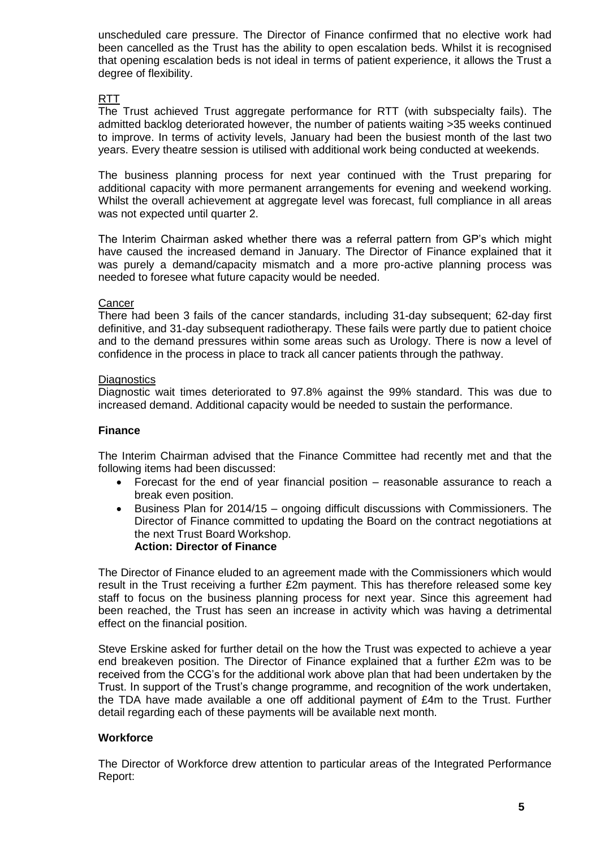unscheduled care pressure. The Director of Finance confirmed that no elective work had been cancelled as the Trust has the ability to open escalation beds. Whilst it is recognised that opening escalation beds is not ideal in terms of patient experience, it allows the Trust a degree of flexibility.

# RTT

The Trust achieved Trust aggregate performance for RTT (with subspecialty fails). The admitted backlog deteriorated however, the number of patients waiting >35 weeks continued to improve. In terms of activity levels, January had been the busiest month of the last two years. Every theatre session is utilised with additional work being conducted at weekends.

The business planning process for next year continued with the Trust preparing for additional capacity with more permanent arrangements for evening and weekend working. Whilst the overall achievement at aggregate level was forecast, full compliance in all areas was not expected until quarter 2.

The Interim Chairman asked whether there was a referral pattern from GP's which might have caused the increased demand in January. The Director of Finance explained that it was purely a demand/capacity mismatch and a more pro-active planning process was needed to foresee what future capacity would be needed.

# **Cancer**

There had been 3 fails of the cancer standards, including 31-day subsequent; 62-day first definitive, and 31-day subsequent radiotherapy. These fails were partly due to patient choice and to the demand pressures within some areas such as Urology. There is now a level of confidence in the process in place to track all cancer patients through the pathway.

#### **Diagnostics**

Diagnostic wait times deteriorated to 97.8% against the 99% standard. This was due to increased demand. Additional capacity would be needed to sustain the performance.

#### **Finance**

The Interim Chairman advised that the Finance Committee had recently met and that the following items had been discussed:

- Forecast for the end of year financial position reasonable assurance to reach a break even position.
- Business Plan for 2014/15 ongoing difficult discussions with Commissioners. The Director of Finance committed to updating the Board on the contract negotiations at the next Trust Board Workshop. **Action: Director of Finance**

The Director of Finance eluded to an agreement made with the Commissioners which would result in the Trust receiving a further £2m payment. This has therefore released some key staff to focus on the business planning process for next year. Since this agreement had been reached, the Trust has seen an increase in activity which was having a detrimental effect on the financial position.

Steve Erskine asked for further detail on the how the Trust was expected to achieve a year end breakeven position. The Director of Finance explained that a further £2m was to be received from the CCG's for the additional work above plan that had been undertaken by the Trust. In support of the Trust's change programme, and recognition of the work undertaken, the TDA have made available a one off additional payment of £4m to the Trust. Further detail regarding each of these payments will be available next month.

# **Workforce**

The Director of Workforce drew attention to particular areas of the Integrated Performance Report: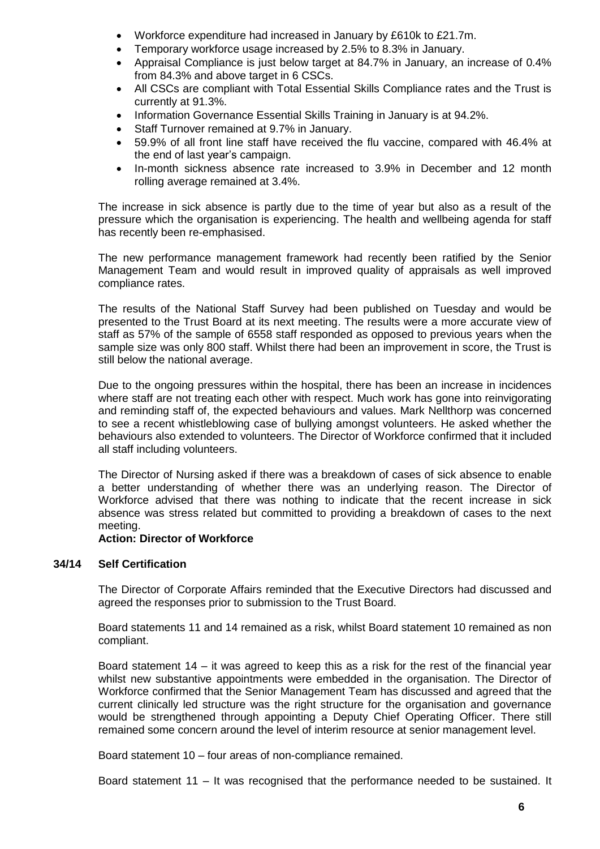- Workforce expenditure had increased in January by £610k to £21.7m.
- Temporary workforce usage increased by 2.5% to 8.3% in January.
- Appraisal Compliance is just below target at 84.7% in January, an increase of 0.4% from 84.3% and above target in 6 CSCs.
- All CSCs are compliant with Total Essential Skills Compliance rates and the Trust is currently at 91.3%.
- Information Governance Essential Skills Training in January is at 94.2%.
- Staff Turnover remained at 9.7% in January.
- 59.9% of all front line staff have received the flu vaccine, compared with 46.4% at the end of last year's campaign.
- In-month sickness absence rate increased to 3.9% in December and 12 month rolling average remained at 3.4%.

The increase in sick absence is partly due to the time of year but also as a result of the pressure which the organisation is experiencing. The health and wellbeing agenda for staff has recently been re-emphasised.

The new performance management framework had recently been ratified by the Senior Management Team and would result in improved quality of appraisals as well improved compliance rates.

The results of the National Staff Survey had been published on Tuesday and would be presented to the Trust Board at its next meeting. The results were a more accurate view of staff as 57% of the sample of 6558 staff responded as opposed to previous years when the sample size was only 800 staff. Whilst there had been an improvement in score, the Trust is still below the national average.

Due to the ongoing pressures within the hospital, there has been an increase in incidences where staff are not treating each other with respect. Much work has gone into reinvigorating and reminding staff of, the expected behaviours and values. Mark Nellthorp was concerned to see a recent whistleblowing case of bullying amongst volunteers. He asked whether the behaviours also extended to volunteers. The Director of Workforce confirmed that it included all staff including volunteers.

The Director of Nursing asked if there was a breakdown of cases of sick absence to enable a better understanding of whether there was an underlying reason. The Director of Workforce advised that there was nothing to indicate that the recent increase in sick absence was stress related but committed to providing a breakdown of cases to the next meeting.

# **Action: Director of Workforce**

# **34/14 Self Certification**

The Director of Corporate Affairs reminded that the Executive Directors had discussed and agreed the responses prior to submission to the Trust Board.

Board statements 11 and 14 remained as a risk, whilst Board statement 10 remained as non compliant.

Board statement 14 – it was agreed to keep this as a risk for the rest of the financial year whilst new substantive appointments were embedded in the organisation. The Director of Workforce confirmed that the Senior Management Team has discussed and agreed that the current clinically led structure was the right structure for the organisation and governance would be strengthened through appointing a Deputy Chief Operating Officer. There still remained some concern around the level of interim resource at senior management level.

Board statement 10 – four areas of non-compliance remained.

Board statement 11 – It was recognised that the performance needed to be sustained. It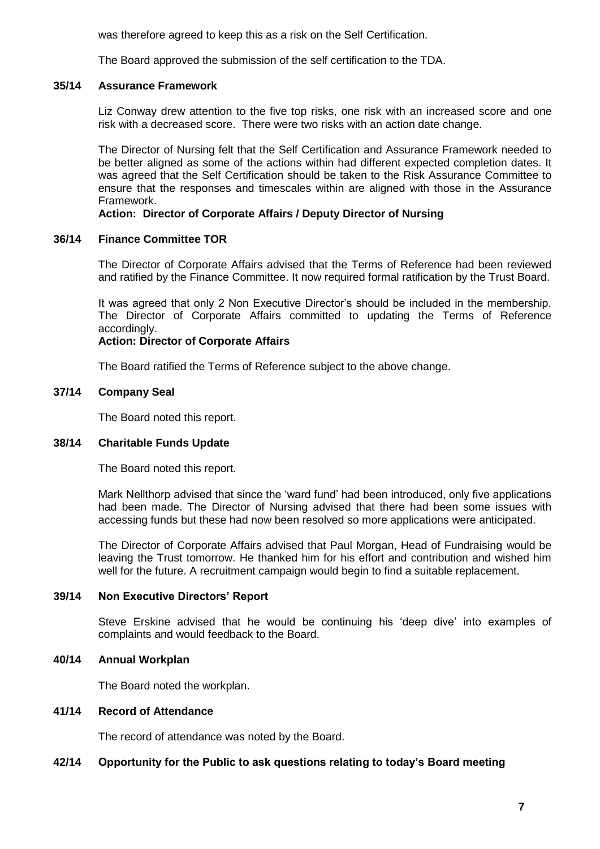was therefore agreed to keep this as a risk on the Self Certification.

The Board approved the submission of the self certification to the TDA.

#### **35/14 Assurance Framework**

Liz Conway drew attention to the five top risks, one risk with an increased score and one risk with a decreased score. There were two risks with an action date change.

The Director of Nursing felt that the Self Certification and Assurance Framework needed to be better aligned as some of the actions within had different expected completion dates. It was agreed that the Self Certification should be taken to the Risk Assurance Committee to ensure that the responses and timescales within are aligned with those in the Assurance Framework.

# **Action: Director of Corporate Affairs / Deputy Director of Nursing**

#### **36/14 Finance Committee TOR**

The Director of Corporate Affairs advised that the Terms of Reference had been reviewed and ratified by the Finance Committee. It now required formal ratification by the Trust Board.

It was agreed that only 2 Non Executive Director's should be included in the membership. The Director of Corporate Affairs committed to updating the Terms of Reference accordingly.

#### **Action: Director of Corporate Affairs**

The Board ratified the Terms of Reference subject to the above change.

# **37/14 Company Seal**

The Board noted this report.

#### **38/14 Charitable Funds Update**

The Board noted this report.

Mark Nellthorp advised that since the 'ward fund' had been introduced, only five applications had been made. The Director of Nursing advised that there had been some issues with accessing funds but these had now been resolved so more applications were anticipated.

The Director of Corporate Affairs advised that Paul Morgan, Head of Fundraising would be leaving the Trust tomorrow. He thanked him for his effort and contribution and wished him well for the future. A recruitment campaign would begin to find a suitable replacement.

#### **39/14 Non Executive Directors' Report**

Steve Erskine advised that he would be continuing his 'deep dive' into examples of complaints and would feedback to the Board.

#### **40/14 Annual Workplan**

The Board noted the workplan.

# **41/14 Record of Attendance**

The record of attendance was noted by the Board.

#### **42/14 Opportunity for the Public to ask questions relating to today's Board meeting**